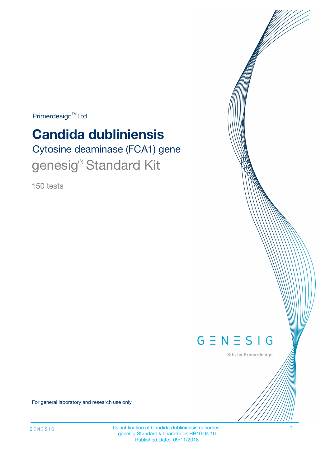$Primerdesign^{\text{TM}}Ltd$ 

# **Candida dubliniensis**

Cytosine deaminase (FCA1) gene genesig® Standard Kit

150 tests



Kits by Primerdesign

For general laboratory and research use only

Quantification of Candida dubliniensis genomes. 1 genesig Standard kit handbook HB10.04.10 Published Date: 09/11/2018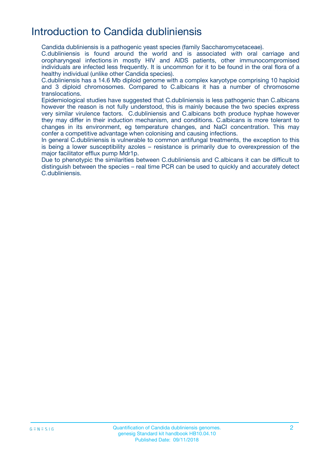# Introduction to Candida dubliniensis

Candida dubliniensis is a pathogenic yeast species (family Saccharomycetaceae).

C.dubliniensis is found around the world and is associated with oral carriage and oropharyngeal infections in mostly HIV and AIDS patients, other immunocompromised individuals are infected less frequently. It is uncommon for it to be found in the oral flora of a healthy individual (unlike other Candida species).

C.dubliniensis has a 14.6 Mb diploid genome with a complex karyotype comprising 10 haploid and 3 diploid chromosomes. Compared to C.albicans it has a number of chromosome translocations.

Epidemiological studies have suggested that C.dubliniensis is less pathogenic than C.albicans however the reason is not fully understood, this is mainly because the two species express very similar virulence factors. C.dubliniensis and C.albicans both produce hyphae however they may differ in their induction mechanism, and conditions. C.albicans is more tolerant to changes in its environment, eg temperature changes, and NaCl concentration. This may confer a competitive advantage when colonising and causing infections.

In general C.dubliniensis is vulnerable to common antifungal treatments, the exception to this is being a lower susceptibility azoles – resistance is primarily due to overexpression of the major facilitator efflux pump Mdr1p.

Due to phenotypic the similarities between C.dubliniensis and C.albicans it can be difficult to distinguish between the species – real time PCR can be used to quickly and accurately detect C.dubliniensis.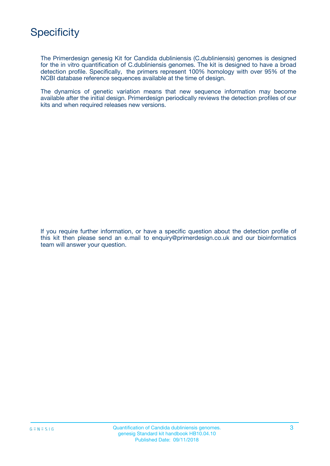

The Primerdesign genesig Kit for Candida dubliniensis (C.dubliniensis) genomes is designed for the in vitro quantification of C.dubliniensis genomes. The kit is designed to have a broad detection profile. Specifically, the primers represent 100% homology with over 95% of the NCBI database reference sequences available at the time of design.

The dynamics of genetic variation means that new sequence information may become available after the initial design. Primerdesign periodically reviews the detection profiles of our kits and when required releases new versions.

If you require further information, or have a specific question about the detection profile of this kit then please send an e.mail to enquiry@primerdesign.co.uk and our bioinformatics team will answer your question.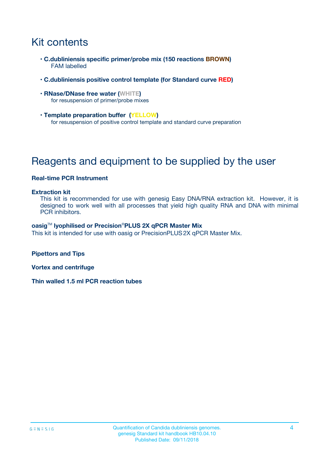# Kit contents

- **C.dubliniensis specific primer/probe mix (150 reactions BROWN)** FAM labelled
- **C.dubliniensis positive control template (for Standard curve RED)**
- **RNase/DNase free water (WHITE)** for resuspension of primer/probe mixes
- **Template preparation buffer (YELLOW)** for resuspension of positive control template and standard curve preparation

# Reagents and equipment to be supplied by the user

#### **Real-time PCR Instrument**

#### **Extraction kit**

This kit is recommended for use with genesig Easy DNA/RNA extraction kit. However, it is designed to work well with all processes that yield high quality RNA and DNA with minimal PCR inhibitors.

#### **oasig**TM **lyophilised or Precision**®**PLUS 2X qPCR Master Mix**

This kit is intended for use with oasig or PrecisionPLUS2X qPCR Master Mix.

**Pipettors and Tips**

**Vortex and centrifuge**

**Thin walled 1.5 ml PCR reaction tubes**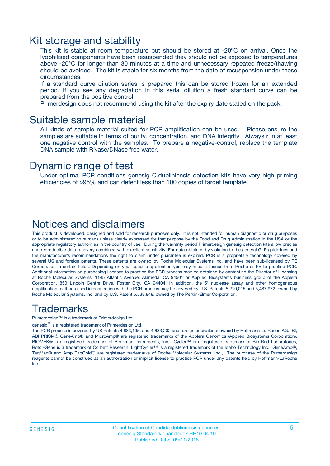### Kit storage and stability

This kit is stable at room temperature but should be stored at -20ºC on arrival. Once the lyophilised components have been resuspended they should not be exposed to temperatures above -20°C for longer than 30 minutes at a time and unnecessary repeated freeze/thawing should be avoided. The kit is stable for six months from the date of resuspension under these circumstances.

If a standard curve dilution series is prepared this can be stored frozen for an extended period. If you see any degradation in this serial dilution a fresh standard curve can be prepared from the positive control.

Primerdesign does not recommend using the kit after the expiry date stated on the pack.

### Suitable sample material

All kinds of sample material suited for PCR amplification can be used. Please ensure the samples are suitable in terms of purity, concentration, and DNA integrity. Always run at least one negative control with the samples. To prepare a negative-control, replace the template DNA sample with RNase/DNase free water.

### Dynamic range of test

Under optimal PCR conditions genesig C.dubliniensis detection kits have very high priming efficiencies of >95% and can detect less than 100 copies of target template.

### Notices and disclaimers

This product is developed, designed and sold for research purposes only. It is not intended for human diagnostic or drug purposes or to be administered to humans unless clearly expressed for that purpose by the Food and Drug Administration in the USA or the appropriate regulatory authorities in the country of use. During the warranty period Primerdesign genesig detection kits allow precise and reproducible data recovery combined with excellent sensitivity. For data obtained by violation to the general GLP guidelines and the manufacturer's recommendations the right to claim under guarantee is expired. PCR is a proprietary technology covered by several US and foreign patents. These patents are owned by Roche Molecular Systems Inc. and have been sub-licensed by PE Corporation in certain fields. Depending on your specific application you may need a license from Roche or PE to practice PCR. Additional information on purchasing licenses to practice the PCR process may be obtained by contacting the Director of Licensing at Roche Molecular Systems, 1145 Atlantic Avenue, Alameda, CA 94501 or Applied Biosystems business group of the Applera Corporation, 850 Lincoln Centre Drive, Foster City, CA 94404. In addition, the 5' nuclease assay and other homogeneous amplification methods used in connection with the PCR process may be covered by U.S. Patents 5,210,015 and 5,487,972, owned by Roche Molecular Systems, Inc, and by U.S. Patent 5,538,848, owned by The Perkin-Elmer Corporation.

### Trademarks

Primerdesign™ is a trademark of Primerdesign Ltd.

genesig $^\circledR$  is a registered trademark of Primerdesign Ltd.

The PCR process is covered by US Patents 4,683,195, and 4,683,202 and foreign equivalents owned by Hoffmann-La Roche AG. BI, ABI PRISM® GeneAmp® and MicroAmp® are registered trademarks of the Applera Genomics (Applied Biosystems Corporation). BIOMEK® is a registered trademark of Beckman Instruments, Inc.; iCycler™ is a registered trademark of Bio-Rad Laboratories, Rotor-Gene is a trademark of Corbett Research. LightCycler™ is a registered trademark of the Idaho Technology Inc. GeneAmp®, TaqMan® and AmpliTaqGold® are registered trademarks of Roche Molecular Systems, Inc., The purchase of the Primerdesign reagents cannot be construed as an authorization or implicit license to practice PCR under any patents held by Hoffmann-LaRoche Inc.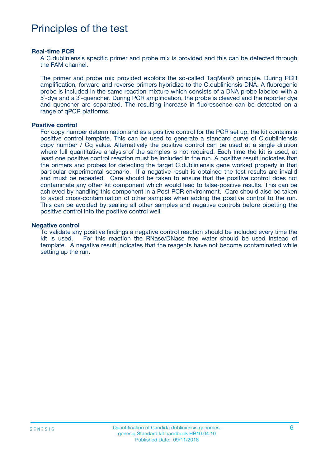# Principles of the test

#### **Real-time PCR**

A C.dubliniensis specific primer and probe mix is provided and this can be detected through the FAM channel.

The primer and probe mix provided exploits the so-called TaqMan® principle. During PCR amplification, forward and reverse primers hybridize to the C.dubliniensis DNA. A fluorogenic probe is included in the same reaction mixture which consists of a DNA probe labeled with a 5`-dye and a 3`-quencher. During PCR amplification, the probe is cleaved and the reporter dye and quencher are separated. The resulting increase in fluorescence can be detected on a range of qPCR platforms.

#### **Positive control**

For copy number determination and as a positive control for the PCR set up, the kit contains a positive control template. This can be used to generate a standard curve of C.dubliniensis copy number / Cq value. Alternatively the positive control can be used at a single dilution where full quantitative analysis of the samples is not required. Each time the kit is used, at least one positive control reaction must be included in the run. A positive result indicates that the primers and probes for detecting the target C.dubliniensis gene worked properly in that particular experimental scenario. If a negative result is obtained the test results are invalid and must be repeated. Care should be taken to ensure that the positive control does not contaminate any other kit component which would lead to false-positive results. This can be achieved by handling this component in a Post PCR environment. Care should also be taken to avoid cross-contamination of other samples when adding the positive control to the run. This can be avoided by sealing all other samples and negative controls before pipetting the positive control into the positive control well.

#### **Negative control**

To validate any positive findings a negative control reaction should be included every time the kit is used. For this reaction the RNase/DNase free water should be used instead of template. A negative result indicates that the reagents have not become contaminated while setting up the run.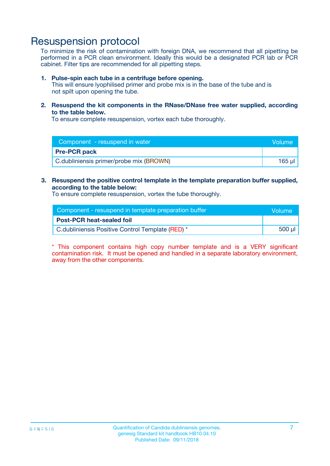### Resuspension protocol

To minimize the risk of contamination with foreign DNA, we recommend that all pipetting be performed in a PCR clean environment. Ideally this would be a designated PCR lab or PCR cabinet. Filter tips are recommended for all pipetting steps.

#### **1. Pulse-spin each tube in a centrifuge before opening.**

This will ensure lyophilised primer and probe mix is in the base of the tube and is not spilt upon opening the tube.

**2. Resuspend the kit components in the RNase/DNase free water supplied, according to the table below.**

To ensure complete resuspension, vortex each tube thoroughly.

| Component - resuspend in water          | <b>Nolume</b> |
|-----------------------------------------|---------------|
| <b>Pre-PCR pack</b>                     |               |
| C.dubliniensis primer/probe mix (BROWN) | 165 ul        |

### **3. Resuspend the positive control template in the template preparation buffer supplied, according to the table below:**

To ensure complete resuspension, vortex the tube thoroughly.

| Component - resuspend in template preparation buffer |        |  |
|------------------------------------------------------|--------|--|
| <b>Post-PCR heat-sealed foil</b>                     |        |  |
| C.dubliniensis Positive Control Template (RED) *     | 500 µl |  |

\* This component contains high copy number template and is a VERY significant contamination risk. It must be opened and handled in a separate laboratory environment, away from the other components.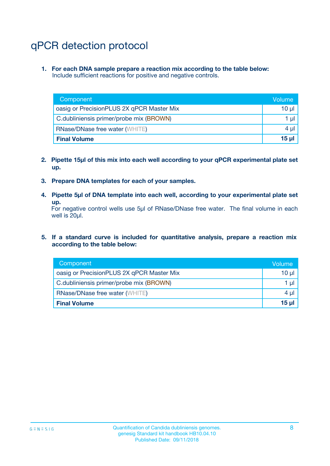# qPCR detection protocol

**1. For each DNA sample prepare a reaction mix according to the table below:** Include sufficient reactions for positive and negative controls.

| Component                                 | Volume     |
|-------------------------------------------|------------|
| oasig or PrecisionPLUS 2X qPCR Master Mix | 10 $\mu$   |
| C.dubliniensis primer/probe mix (BROWN)   | 1 $\mu$    |
| <b>RNase/DNase free water (WHITE)</b>     | $4 \mu$    |
| <b>Final Volume</b>                       | $15$ $\mu$ |

- **2. Pipette 15µl of this mix into each well according to your qPCR experimental plate set up.**
- **3. Prepare DNA templates for each of your samples.**
- **4. Pipette 5µl of DNA template into each well, according to your experimental plate set up.**

For negative control wells use 5µl of RNase/DNase free water. The final volume in each well is 20µl.

**5. If a standard curve is included for quantitative analysis, prepare a reaction mix according to the table below:**

| Component                                 | Volume  |
|-------------------------------------------|---------|
| oasig or PrecisionPLUS 2X qPCR Master Mix | 10 µl   |
| C.dubliniensis primer/probe mix (BROWN)   | 1 µI    |
| <b>RNase/DNase free water (WHITE)</b>     | $4 \mu$ |
| <b>Final Volume</b>                       | 15 µl   |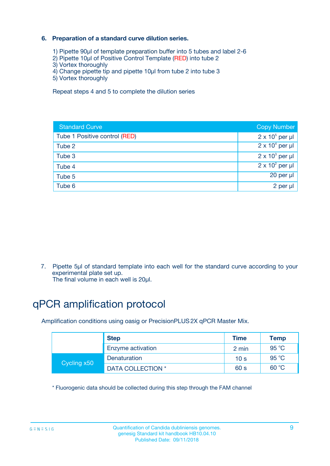### **6. Preparation of a standard curve dilution series.**

- 1) Pipette 90µl of template preparation buffer into 5 tubes and label 2-6
- 2) Pipette 10µl of Positive Control Template (RED) into tube 2
- 3) Vortex thoroughly
- 4) Change pipette tip and pipette 10µl from tube 2 into tube 3
- 5) Vortex thoroughly

Repeat steps 4 and 5 to complete the dilution series

| <b>Standard Curve</b>         | <b>Copy Number</b>     |
|-------------------------------|------------------------|
| Tube 1 Positive control (RED) | $2 \times 10^5$ per µl |
| Tube 2                        | $2 \times 10^4$ per µl |
| Tube 3                        | $2 \times 10^3$ per µl |
| Tube 4                        | $2 \times 10^2$ per µl |
| Tube 5                        | 20 per µl              |
| Tube 6                        | 2 per ul               |

7. Pipette 5µl of standard template into each well for the standard curve according to your experimental plate set up.

The final volume in each well is 20µl.

# qPCR amplification protocol

Amplification conditions using oasig or PrecisionPLUS2X qPCR Master Mix.

|             | <b>Step</b>       | <b>Time</b>     | Temp    |
|-------------|-------------------|-----------------|---------|
|             | Enzyme activation | 2 min           | 95 °C   |
| Cycling x50 | Denaturation      | 10 <sub>s</sub> | 95 $°C$ |
|             | DATA COLLECTION * | 60 s            | 60 °C   |

\* Fluorogenic data should be collected during this step through the FAM channel